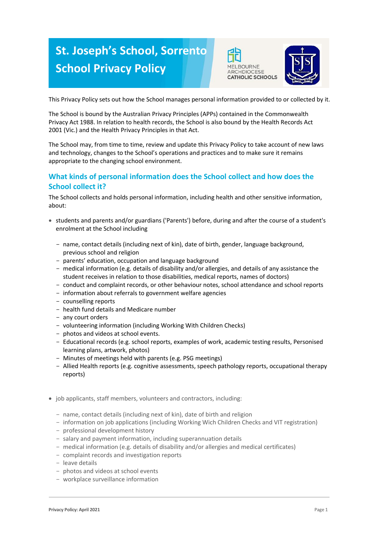# **St. Joseph's School, Sorrento School Privacy Policy**





This Privacy Policy sets out how the School manages personal information provided to or collected by it.

The School is bound by the Australian Privacy Principles (APPs) contained in the Commonwealth Privacy Act 1988. In relation to health records, the School is also bound by the Health Records Act 2001 (Vic.) and the Health Privacy Principles in that Act.

The School may, from time to time, review and update this Privacy Policy to take account of new laws and technology, changes to the School's operations and practices and to make sure it remains appropriate to the changing school environment.

# **What kinds of personal information does the School collect and how does the School collect it?**

The School collects and holds personal information, including health and other sensitive information, about:

- students and parents and/or guardians ('Parents') before, during and after the course of a student's enrolment at the School including
	- name, contact details (including next of kin), date of birth, gender, language background, previous school and religion
	- parents' education, occupation and language background
	- medical information (e.g. details of disability and/or allergies, and details of any assistance the student receives in relation to those disabilities, medical reports, names of doctors)
	- conduct and complaint records, or other behaviour notes, school attendance and school reports
	- information about referrals to government welfare agencies
	- counselling reports
	- health fund details and Medicare number
	- any court orders
	- volunteering information (including Working With Children Checks)
	- photos and videos at school events.
	- Educational records (e.g. school reports, examples of work, academic testing results, Personised learning plans, artwork, photos)
	- Minutes of meetings held with parents (e.g. PSG meetings)
	- Allied Health reports (e.g. cognitive assessments, speech pathology reports, occupational therapy reports)
- job applicants, staff members, volunteers and contractors, including:
	- name, contact details (including next of kin), date of birth and religion
	- information on job applications (including Working Wich Children Checks and VIT registration)
	- professional development history
	- salary and payment information, including superannuation details
	- medical information (e.g. details of disability and/or allergies and medical certificates)
	- complaint records and investigation reports
	- leave details
	- photos and videos at school events
	- workplace surveillance information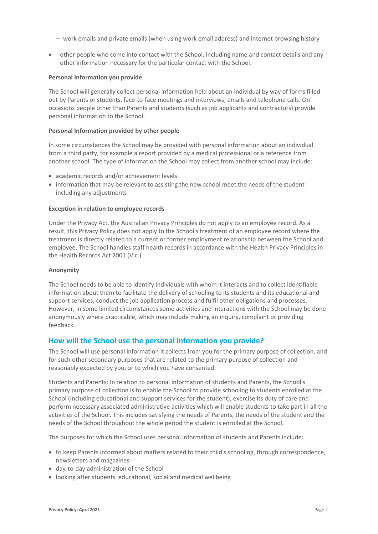- work emails and private emails (when using work email address) and internet browsing history
- other people who come into contact with the School, including name and contact details and any other information necessary for the particular contact with the School.

#### **Personal Information you provide**

The School will generally collect personal information held about an individual by way of forms filled out by Parents or students, face-to-face meetings and interviews, emails and telephone calls. On occasions people other than Parents and students (such as job applicants and contractors) provide personal information to the School.

#### **Personal Information provided by other people**

In some circumstances the School may be provided with personal information about an individual from a third party, for example a report provided by a medical professional or a reference from another school. The type of information the School may collect from another school may include:

- academic records and/or achievement levels
- information that may be relevant to assisting the new school meet the needs of the student including any adjustments

#### **Exception in relation to employee records**

Under the Privacy Act, the Australian Privacy Principles do not apply to an employee record. As a result, this Privacy Policy does not apply to the School's treatment of an employee record where the treatment is directly related to a current or former employment relationship between the School and employee. The School handles staff health records in accordance with the Health Privacy Principles in the Health Records Act 2001 (Vic.).

#### **Anonymity**

The School needs to be able to identify individuals with whom it interacts and to collect identifiable information about them to facilitate the delivery of schooling to its students and its educational and support services, conduct the job application process and fulfil other obligations and processes. However, in some limited circumstances some activities and interactions with the School may be done anonymously where practicable, which may include making an inquiry, complaint or providing feedback.

# **How will the School use the personal information you provide?**

The School will use personal information it collects from you for the primary purpose of collection, and for such other secondary purposes that are related to the primary purpose of collection and reasonably expected by you, or to which you have consented.

Students and Parents: In relation to personal information of students and Parents, the School's primary purpose of collection is to enable the School to provide schooling to students enrolled at the School (including educational and support services for the student), exercise its duty of care and perform necessary associated administrative activities which will enable students to take part in all the activities of the School. This includes satisfying the needs of Parents, the needs of the student and the needs of the School throughout the whole period the student is enrolled at the School.

The purposes for which the School uses personal information of students and Parents include:

- to keep Parents informed about matters related to their child's schooling, through correspondence, newsletters and magazines
- day-to-day administration of the School
- looking after students' educational, social and medical wellbeing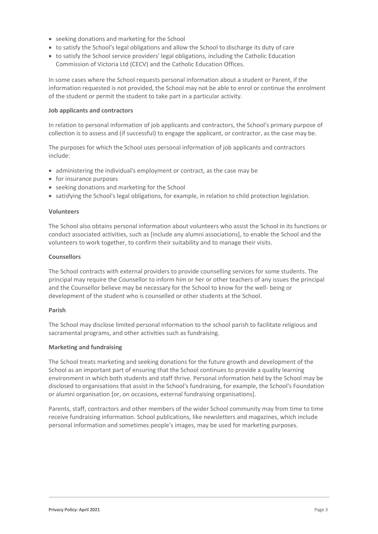- seeking donations and marketing for the School
- to satisfy the School's legal obligations and allow the School to discharge its duty of care
- to satisfy the School service providers' legal obligations, including the Catholic Education Commission of Victoria Ltd (CECV) and the Catholic Education Offices.

In some cases where the School requests personal information about a student or Parent, if the information requested is not provided, the School may not be able to enrol or continue the enrolment of the student or permit the student to take part in a particular activity.

#### **Job applicants and contractors**

In relation to personal information of job applicants and contractors, the School's primary purpose of collection is to assess and (if successful) to engage the applicant, or contractor, as the case may be.

The purposes for which the School uses personal information of job applicants and contractors include:

- administering the individual's employment or contract, as the case may be
- $\bullet$  for insurance purposes
- seeking donations and marketing for the School
- satisfying the School's legal obligations, for example, in relation to child protection legislation.

#### **Volunteers**

The School also obtains personal information about volunteers who assist the School in its functions or conduct associated activities, such as [include any alumni associations], to enable the School and the volunteers to work together, to confirm their suitability and to manage their visits.

#### **Counsellors**

The School contracts with external providers to provide counselling services for some students. The principal may require the Counsellor to inform him or her or other teachers of any issues the principal and the Counsellor believe may be necessary for the School to know for the well- being or development of the student who is counselled or other students at the School.

#### **Parish**

The School may disclose limited personal information to the school parish to facilitate religious and sacramental programs, and other activities such as fundraising.

#### **Marketing and fundraising**

The School treats marketing and seeking donations for the future growth and development of the School as an important part of ensuring that the School continues to provide a quality learning environment in which both students and staff thrive. Personal information held by the School may be disclosed to organisations that assist in the School's fundraising, for example, the School's Foundation or alumni organisation [or, on occasions, external fundraising organisations].

Parents, staff, contractors and other members of the wider School community may from time to time receive fundraising information. School publications, like newsletters and magazines, which include personal information and sometimes people's images, may be used for marketing purposes.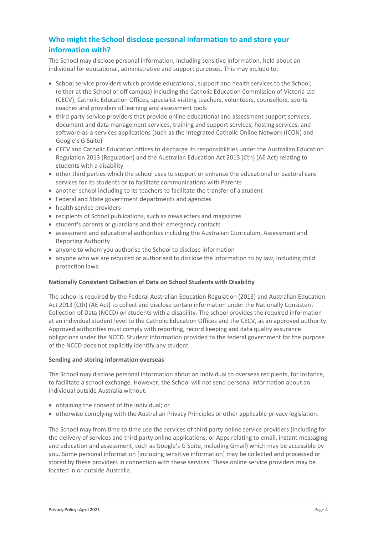# **Who might the School disclose personal information to and store your information with?**

The School may disclose personal information, including sensitive information, held about an individual for educational, administrative and support purposes. This may include to:

- School service providers which provide educational, support and health services to the School, (either at the School or off campus) including the Catholic Education Commission of Victoria Ltd (CECV), Catholic Education Offices, specialist visiting teachers, volunteers, counsellors, sports coaches and providers of learning and assessment tools
- third party service providers that provide online educational and assessment support services, document and data management services, training and support services, hosting services, and software-as-a-services applications (such as the Integrated Catholic Online Network (ICON) and Google's G Suite)
- CECV and Catholic Education offices to discharge its responsibilities under the Australian Education Regulation 2013 (Regulation) and the Australian Education Act 2013 (Cth) (AE Act) relating to students with a disability
- other third parties which the school uses to support or enhance the educational or pastoral care services for its students or to facilitate communications with Parents
- another school including to its teachers to facilitate the transfer of a student
- Federal and State government departments and agencies
- health service providers
- recipients of School publications, such as newsletters and magazines
- student's parents or guardians and their emergency contacts
- assessment and educational authorities including the Australian Curriculum, Assessment and Reporting Authority
- anyone to whom you authorise the School to disclose information
- anyone who we are required or authorised to disclose the information to by law, including child protection laws.

# **Nationally Consistent Collection of Data on School Students with Disability**

The school is required by the Federal Australian Education Regulation (2013) and Australian Education Act 2013 (Cth) (AE Act) to collect and disclose certain information under the Nationally Consistent Collection of Data (NCCD) on students with a disability. The school provides the required information at an individual student level to the Catholic Education Offices and the CECV, as an approved authority. Approved authorities must comply with reporting, record keeping and data quality assurance obligations under the NCCD. Student information provided to the federal government for the purpose of the NCCD does not explicitly identify any student.

# **Sending and storing information overseas**

The School may disclose personal information about an individual to overseas recipients, for instance, to facilitate a school exchange. However, the School will not send personal information about an individual outside Australia without:

- obtaining the consent of the individual; or
- otherwise complying with the Australian Privacy Principles or other applicable privacy legislation.

The School may from time to time use the services of third party online service providers (including for the delivery of services and third party online applications, or Apps relating to email, instant messaging and education and assessment, such as Google's G Suite, including Gmail) which may be accessible by you. Some personal information [including sensitive information] may be collected and processed or stored by these providers in connection with these services. These online service providers may be located in or outside Australia.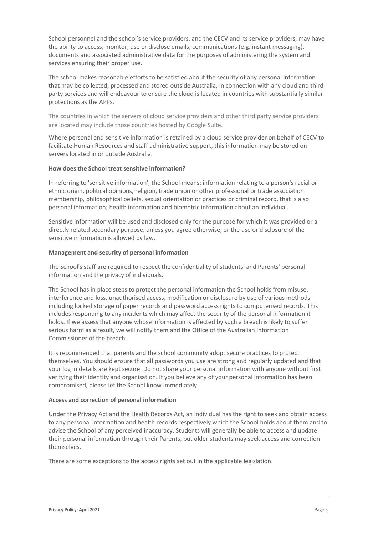School personnel and the school's service providers, and the CECV and its service providers, may have the ability to access, monitor, use or disclose emails, communications (e.g. instant messaging), documents and associated administrative data for the purposes of administering the system and services ensuring their proper use.

The school makes reasonable efforts to be satisfied about the security of any personal information that may be collected, processed and stored outside Australia, in connection with any cloud and third party services and will endeavour to ensure the cloud is located in countries with substantially similar protections as the APPs.

The countries in which the servers of cloud service providers and other third party service providers are located may include those countries hosted by Google Suite.

Where personal and sensitive information is retained by a cloud service provider on behalf of CECV to facilitate Human Resources and staff administrative support, this information may be stored on servers located in or outside Australia.

# **How does the School treat sensitive information?**

In referring to 'sensitive information', the School means: information relating to a person's racial or ethnic origin, political opinions, religion, trade union or other professional or trade association membership, philosophical beliefs, sexual orientation or practices or criminal record, that is also personal information; health information and biometric information about an individual.

Sensitive information will be used and disclosed only for the purpose for which it was provided or a directly related secondary purpose, unless you agree otherwise, or the use or disclosure of the sensitive information is allowed by law.

### **Management and security of personal information**

The School's staff are required to respect the confidentiality of students' and Parents' personal information and the privacy of individuals.

The School has in place steps to protect the personal information the School holds from misuse, interference and loss, unauthorised access, modification or disclosure by use of various methods including locked storage of paper records and password access rights to computerised records. This includes responding to any incidents which may affect the security of the personal information it holds. If we assess that anyone whose information is affected by such a breach is likely to suffer serious harm as a result, we will notify them and the Office of the Australian Information Commissioner of the breach.

It is recommended that parents and the school community adopt secure practices to protect themselves. You should ensure that all passwords you use are strong and regularly updated and that your log in details are kept secure. Do not share your personal information with anyone without first verifying their identity and organisation. If you believe any of your personal information has been compromised, please let the School know immediately.

#### **Access and correction of personal information**

Under the Privacy Act and the Health Records Act, an individual has the right to seek and obtain access to any personal information and health records respectively which the School holds about them and to advise the School of any perceived inaccuracy. Students will generally be able to access and update their personal information through their Parents, but older students may seek access and correction themselves.

There are some exceptions to the access rights set out in the applicable legislation.